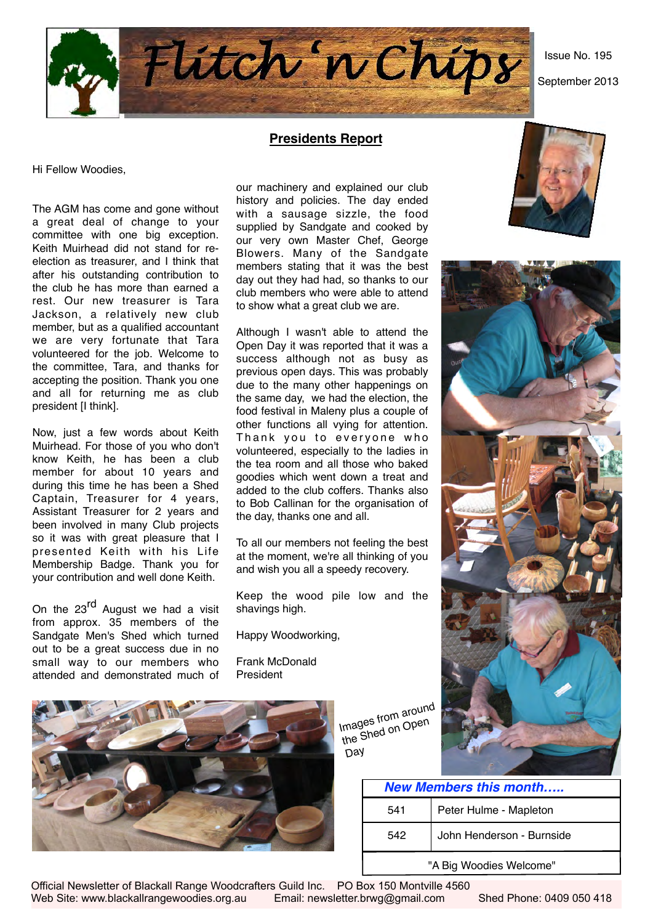

**Presidents Report**

Hi Fellow Woodies,

The AGM has come and gone without a great deal of change to your committee with one big exception. Keith Muirhead did not stand for reelection as treasurer, and I think that after his outstanding contribution to the club he has more than earned a rest. Our new treasurer is Tara Jackson, a relatively new club member, but as a qualified accountant we are very fortunate that Tara volunteered for the job. Welcome to the committee, Tara, and thanks for accepting the position. Thank you one and all for returning me as club president [I think].

Now, just a few words about Keith Muirhead. For those of you who don't know Keith, he has been a club member for about 10 years and during this time he has been a Shed Captain, Treasurer for 4 years, Assistant Treasurer for 2 years and been involved in many Club projects so it was with great pleasure that I presented Keith with his Life Membership Badge. Thank you for your contribution and well done Keith.

On the 23<sup>rd</sup> August we had a visit from approx. 35 members of the Sandgate Men's Shed which turned out to be a great success due in no small way to our members who attended and demonstrated much of our machinery and explained our club history and policies. The day ended with a sausage sizzle, the food supplied by Sandgate and cooked by our very own Master Chef, George Blowers. Many of the Sandgate members stating that it was the best day out they had had, so thanks to our club members who were able to attend to show what a great club we are.

Although I wasn't able to attend the Open Day it was reported that it was a success although not as busy as previous open days. This was probably due to the many other happenings on the same day, we had the election, the food festival in Maleny plus a couple of other functions all vying for attention. Thank you to everyone who volunteered, especially to the ladies in the tea room and all those who baked goodies which went down a treat and added to the club coffers. Thanks also to Bob Callinan for the organisation of the day, thanks one and all.

To all our members not feeling the best at the moment, we're all thinking of you and wish you all a speedy recovery.

Keep the wood pile low and the shavings high.

Happy Woodworking,

Frank McDonald President





| <b>New Members this month</b> |                           |  |  |  |
|-------------------------------|---------------------------|--|--|--|
| Peter Hulme - Mapleton<br>541 |                           |  |  |  |
| 542                           | John Henderson - Burnside |  |  |  |
| "A Big Woodies Welcome"       |                           |  |  |  |

Issue No. 195

September 2013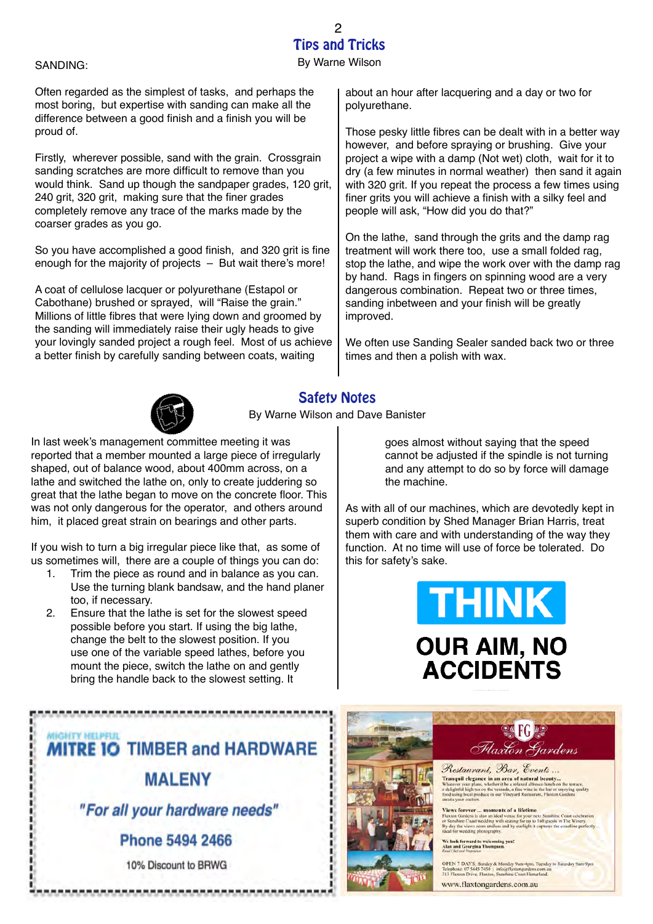# Tips and Tricks 2

Safety Notes By Warne Wilson and Dave Banister

## SANDING: SANDING:

Often regarded as the simplest of tasks, and perhaps the most boring, but expertise with sanding can make all the difference between a good finish and a finish you will be proud of.

Firstly, wherever possible, sand with the grain. Crossgrain sanding scratches are more difficult to remove than you would think. Sand up though the sandpaper grades, 120 grit, 240 grit, 320 grit, making sure that the finer grades completely remove any trace of the marks made by the coarser grades as you go.

So you have accomplished a good finish, and 320 grit is fine enough for the majority of projects – But wait there's more!

A coat of cellulose lacquer or polyurethane (Estapol or Cabothane) brushed or sprayed, will "Raise the grain." Millions of little fibres that were lying down and groomed by the sanding will immediately raise their ugly heads to give your lovingly sanded project a rough feel. Most of us achieve a better finish by carefully sanding between coats, waiting

about an hour after lacquering and a day or two for polyurethane.

Those pesky little fibres can be dealt with in a better way however, and before spraying or brushing. Give your project a wipe with a damp (Not wet) cloth, wait for it to dry (a few minutes in normal weather) then sand it again with 320 grit. If you repeat the process a few times using finer grits you will achieve a finish with a silky feel and people will ask, "How did you do that?"

On the lathe, sand through the grits and the damp rag treatment will work there too, use a small folded rag, stop the lathe, and wipe the work over with the damp rag by hand. Rags in fingers on spinning wood are a very dangerous combination. Repeat two or three times, sanding inbetween and your finish will be greatly improved.

We often use Sanding Sealer sanded back two or three times and then a polish with wax.

In last week's management committee meeting it was reported that a member mounted a large piece of irregularly shaped, out of balance wood, about 400mm across, on a lathe and switched the lathe on, only to create juddering so great that the lathe began to move on the concrete floor. This was not only dangerous for the operator, and others around him, it placed great strain on bearings and other parts.

If you wish to turn a big irregular piece like that, as some of us sometimes will, there are a couple of things you can do:

- 1. Trim the piece as round and in balance as you can. Use the turning blank bandsaw, and the hand planer too, if necessary.
- 2. Ensure that the lathe is set for the slowest speed possible before you start. If using the big lathe, change the belt to the slowest position. If you use one of the variable speed lathes, before you mount the piece, switch the lathe on and gently bring the handle back to the slowest setting. It

 goes almost without saying that the speed cannot be adjusted if the spindle is not turning and any attempt to do so by force will damage the machine.

As with all of our machines, which are devotedly kept in superb condition by Shed Manager Brian Harris, treat them with care and with understanding of the way they function. At no time will use of force be tolerated. Do this for safety's sake.



\*\*\*\*\*\*\*\*\*\*\*\*\*\*\*\*\*\*\*\*\*\*\*\*\*\*\*\*\*\*\*\*\*\*\*\*\* **MIGHTY MELPFUL MITRE IO TIMBER and HARDWARE MALENY** "For all your hardware needs" **Phone 5494 2466** 10% Discount to BRWG 



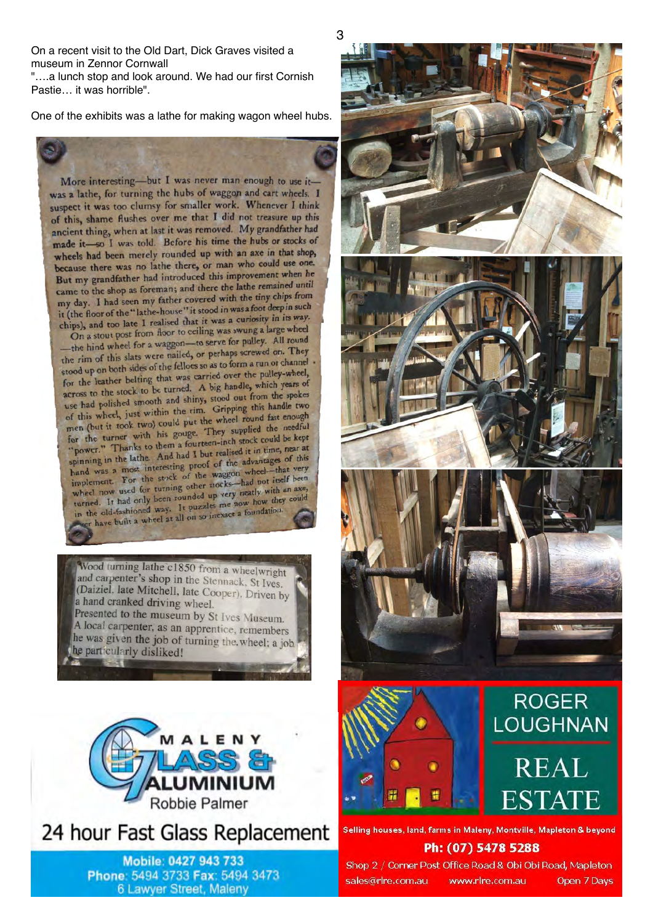On a recent visit to the Old Dart, Dick Graves visited a museum in Zennor Cornwall

"….a lunch stop and look around. We had our first Cornish Pastie… it was horrible".

One of the exhibits was a lathe for making wagon wheel hubs.

More interesting—but I was never man enough to use itwas a lathe, for turning the hubs of waggon and cart wheels. I suspect it was too clumsy for smaller work. Whenever I think of this, shame flushes over me that I did not treasure up this ancient thing, when at last it was removed. My grandfather had made it-so I was told. Before his time the hubs or stocks of wheels had been merely rounded up with an axe in that shop, wheels had been mercify founded up with the boats one.<br>But my grandfather had introduced this improvement when he But my grandtather had introduced this improvement<br>came to the shop as foreman; and there the latthe remained until came to the shop as foreman; and there the latter change hips from<br>my day. I had seen my father covered with the tiny chips from it (the floor of the "lathe-house" it stood in was a foot deep in such<br>it (the floor of the "lathe-house" it stood in was a foot deep in such it (the floor of the "lathe-house" it stood in was a root deep m sach chips), and too late I realised that it was a curiosity in its way. lips), and too late I realised that it was a curiosity in its way.<br>On a stout post from floor to ceiling was swung a large wheel

On a stout post from floor to ceiling was swung a large wheel<br>
—the hind wheel for a waggon—to serve for pulley. All round the hind wheel for a waggon-to serve for party of on. They<br>the rim of this slats were nailed, or perhaps screwed on. They the rim of this slats were nailed, or perhaps screwed on. They<br>stood up on both sides of the felloes so as to form a run or channel stood up on both sides of the telloes so as to form a random change. for the leather belting that was carried over the puney-wheel,<br>across to the stock to be turned. A big handle, which years of across to the stock to be turned. A big nanote, which years use had polished smooth and shiny, stood out from the spokes<br>of this wheel, just within the rim. Gripping this handle two of this wheel, just within the rim. Gripping this handle of this wheel, just within the rim. Gripping this handle round fast enough men (but it took two) could put the wheel round last cheedful<br>for the turner with his gouge. They supplied the needful<br>for the turner with his gouge. They supplied the needful for the turner with his gouge. They supplied the heather<br>"power." Thanks to them a fourteen-inch stock could be kept<br>"power." Thanks to them a fourteen-inch stock could be kept "power." Thanks to them a fourteen-inch stock could be kept<br>spinning in the lathe. And had I but realised it in time, near at<br>spinning in the lathe. And had I but realised it in time, near at "power. The latte. And had I but realised it in time, near and<br>hand was a most interesting proof of the advantages of this<br>implement. For the stock of the waggon wheel—that very<br>implement. For the stock of the waggon wheel hand was a most metal for the waggon wheel-mat vary<br>implement. For the stock of the waggon wheel now used for turning other stocks-had not itself been<br>wheel now used for turning other stocks had not itself an axe, implement. For the surface that only been tooks—had not itself been<br>turned. It had only been rounded up very neatly with an axe,<br>in the old-fashioned way. It puzzles me now how they could<br>in the old-fashioned way. It puzzl to a fit has different way. It puzzles me now now the old-fashioned way. It puzzles me now now the

Wood turning lathe c1850 from a wheelwright and carpenter's shop in the Stennack, St Ives. (Daiziel, late Mitchell, late Cooper). Driven by a hand cranked driving wheel. Presented to the museum by St Ives Museum. A local carpenter, as an apprentice, remembers he was given the job of turning the wheel; a job the particularly disliked!



24 hour Fast Glass Replacement

Mobile: 0427 943 733 Phone: 5494 3733 Fax: 5494 3473 6 Lawyer Street, Maleny



Selling houses, land, farms in Maleny, Montville, Mapleton & beyond Ph: (07) 5478 5288

Shop 2 / Corner Post Office Road & Obi Obi Road, Mapleton sales@rlre.com.au www.rlre.com.au Open 7 Days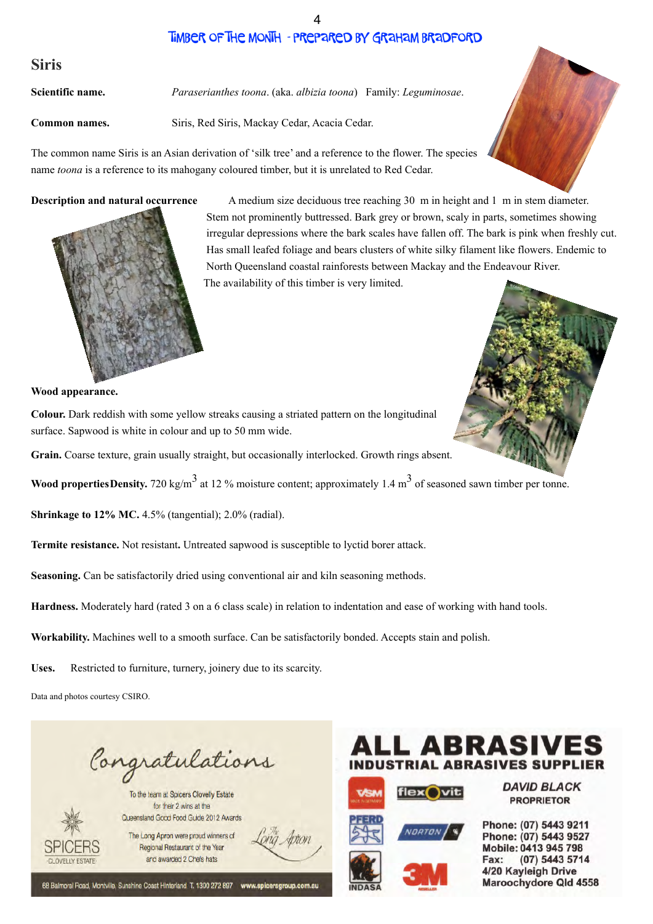# Timber of the Month - prepared by Graham Bradford

### **Siris**

**Scientific name.** *Paraserianthes toona*. (aka. *albizia toona*) Family: *Leguminosae*.

**Common names.** Siris, Red Siris, Mackay Cedar, Acacia Cedar.

The common name Siris is an Asian derivation of 'silk tree' and a reference to the flower. The species name *toona* is a reference to its mahogany coloured timber, but it is unrelated to Red Cedar.



**Description and natural occurrence** A medium size deciduous tree reaching 30 m in height and 1 m in stem diameter. Stem not prominently buttressed. Bark grey or brown, scaly in parts, sometimes showing irregular depressions where the bark scales have fallen off. The bark is pink when freshly cut. Has small leafed foliage and bears clusters of white silky filament like flowers. Endemic to North Queensland coastal rainforests between Mackay and the Endeavour River. The availability of this timber is very limited.

#### **Wood appearance.**

**Colour.** Dark reddish with some yellow streaks causing a striated pattern on the longitudinal surface. Sapwood is white in colour and up to 50 mm wide.

**Grain.** Coarse texture, grain usually straight, but occasionally interlocked. Growth rings absent.

**Wood properties Density.** 720 kg/m<sup>3</sup> at 12 % moisture content; approximately 1.4 m<sup>3</sup> of seasoned sawn timber per tonne.

**Shrinkage to 12% MC.** 4.5% (tangential); 2.0% (radial).

**Termite resistance.** Not resistant**.** Untreated sapwood is susceptible to lyctid borer attack.

**Seasoning.** Can be satisfactorily dried using conventional air and kiln seasoning methods.

**Hardness.** Moderately hard (rated 3 on a 6 class scale) in relation to indentation and ease of working with hand tools.

**Workability.** Machines well to a smooth surface. Can be satisfactorily bonded. Accepts stain and polish.

**Uses.** Restricted to furniture, turnery, joinery due to its scarcity.

Data and photos courtesy CSIRO.

Congratulations

To the team at Spicers Clovelly Estate

for their 2 wins at the

68 Balmoral Road, Montville, Sunshine Coast Hinterland T. 1300 272 897 www.spicersgroup.com.au

**CLOVELLY ESTATE** 





**ABRASIV NDUSTRIAL ABRASIVES SUPPLIER** 

flex vit





**DAVID BLACK PROPRIETOR** 

Phone: (07) 5443 9211 Phone: (07) 5443 9527 Mobile: 0413 945 798 Fax: (07) 5443 5714 4/20 Kayleigh Drive Maroochydore Qld 4558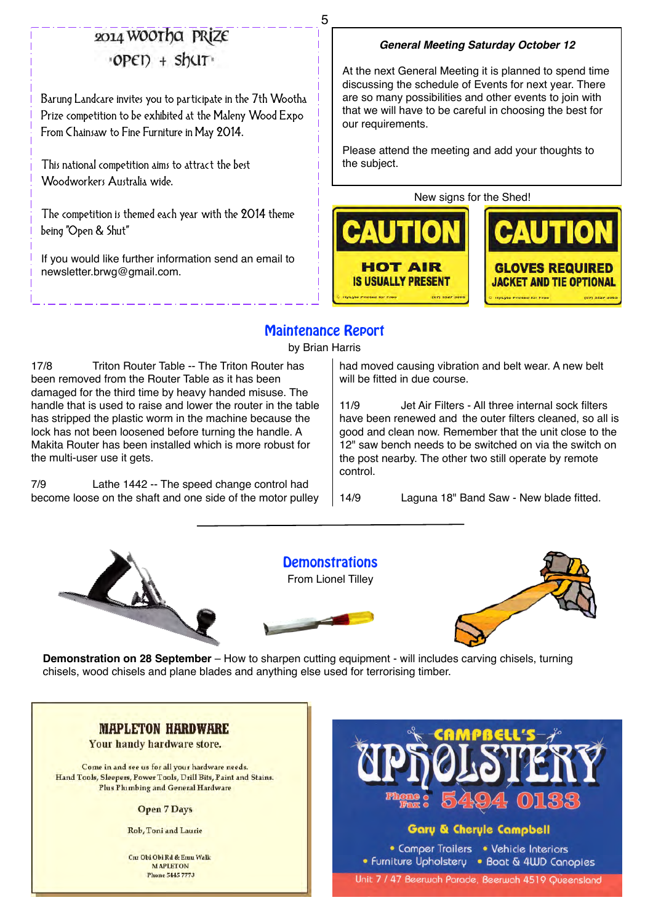# 2014 WOOTHO PRIZE "OPED + ShUT"

Barung Landcare invites you to participate in the 7th Wootha Prize competition to be exhibited at the Maleny Wood Expo From Chainsaw to Fine Furniture in May 2014.

This national competition aims to attract the best Woodworkers Australia wide.

The competition is themed each year with the 2014 theme being "Open & Shut"

If you would like further information send an email to [newsletter.brwg@gmail.com.](http://newsletter.brwg@gmail.com)

# *General Meeting Saturday October 12*

At the next General Meeting it is planned to spend time discussing the schedule of Events for next year. There are so many possibilities and other events to join with that we will have to be careful in choosing the best for our requirements.

Please attend the meeting and add your thoughts to the subject.

New signs for the Shed!



# Maintenance Report

5

by Brian Harris

17/8 Triton Router Table -- The Triton Router has been removed from the Router Table as it has been damaged for the third time by heavy handed misuse. The handle that is used to raise and lower the router in the table has stripped the plastic worm in the machine because the lock has not been loosened before turning the handle. A Makita Router has been installed which is more robust for the multi-user use it gets.

7/9 Lathe 1442 -- The speed change control had become loose on the shaft and one side of the motor pulley had moved causing vibration and belt wear. A new belt will be fitted in due course.

11/9 Jet Air Filters - All three internal sock filters have been renewed and the outer filters cleaned, so all is good and clean now. Remember that the unit close to the 12" saw bench needs to be switched on via the switch on the post nearby. The other two still operate by remote control.

14/9 Laguna 18" Band Saw - New blade fitted.





**Demonstrations** From Lionel Tilley



**Demonstration on 28 September** – How to sharpen cutting equipment - will includes carving chisels, turning chisels, wood chisels and plane blades and anything else used for terrorising timber.

**MAPLETON HARDWARE** Your handy hardware store.

Come in and see us for all your hardware needs. Hand Tools, Sleepers, Power Tools, Drill Bits, Paint and Stains. **Plus Plumbing and General Hardware** 

**Open 7 Days** 

Rob, Toni and Laurie

Cm Obi Obi Rd & Emu Walk **MAPLETON Phone 5445 7773** 



### **Gary & Cheryle Campbell**

• Comper Trailers • Vehicle Interiors • Furniture Upholstery • Boat & 4WD Canopies

Unit 7 / 47 Beerwah Parade, Beerwah 4519 Queensland